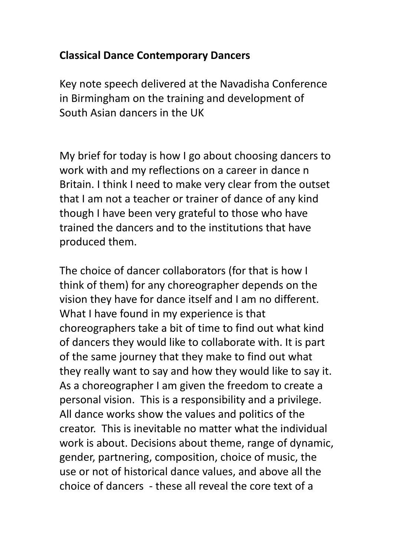## **Classical Dance Contemporary Dancers**

Key note speech delivered at the Navadisha Conference in Birmingham on the training and development of South Asian dancers in the UK

My brief for today is how I go about choosing dancers to work with and my reflections on a career in dance n Britain. I think I need to make very clear from the outset that I am not a teacher or trainer of dance of any kind though I have been very grateful to those who have trained the dancers and to the institutions that have produced them.

The choice of dancer collaborators (for that is how I think of them) for any choreographer depends on the vision they have for dance itself and I am no different. What I have found in my experience is that choreographers take a bit of time to find out what kind of dancers they would like to collaborate with. It is part of the same journey that they make to find out what they really want to say and how they would like to say it. As a choreographer I am given the freedom to create a personal vision. This is a responsibility and a privilege. All dance works show the values and politics of the creator. This is inevitable no matter what the individual work is about. Decisions about theme, range of dynamic, gender, partnering, composition, choice of music, the use or not of historical dance values, and above all the choice of dancers - these all reveal the core text of a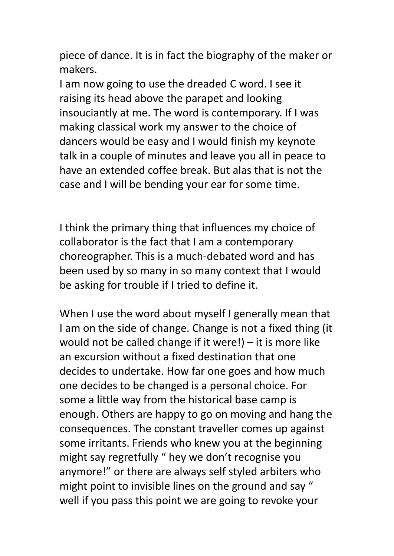piece of dance. It is in fact the biography of the maker or makers.

I am now going to use the dreaded C word. I see it raising its head above the parapet and looking insouciantly at me. The word is contemporary. If I was making classical work my answer to the choice of dancers would be easy and I would finish my keynote talk in a couple of minutes and leave you all in peace to have an extended coffee break. But alas that is not the case and I will be bending your ear for some time.

I think the primary thing that influences my choice of collaborator is the fact that I am a contemporary choreographer. This is a much-debated word and has been used by so many in so many context that I would be asking for trouble if I tried to define it.

When I use the word about myself I generally mean that I am on the side of change. Change is not a fixed thing (it would not be called change if it were!) – it is more like an excursion without a fixed destination that one decides to undertake. How far one goes and how much one decides to be changed is a personal choice. For some a little way from the historical base camp is enough. Others are happy to go on moving and hang the consequences. The constant traveller comes up against some irritants. Friends who knew you at the beginning might say regretfully " hey we don't recognise you anymore!" or there are always self styled arbiters who might point to invisible lines on the ground and say " well if you pass this point we are going to revoke your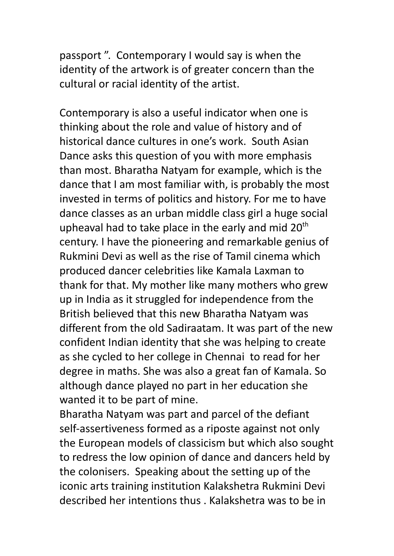passport ". Contemporary I would say is when the identity of the artwork is of greater concern than the cultural or racial identity of the artist.

Contemporary is also a useful indicator when one is thinking about the role and value of history and of historical dance cultures in one's work. South Asian Dance asks this question of you with more emphasis than most. Bharatha Natyam for example, which is the dance that I am most familiar with, is probably the most invested in terms of politics and history. For me to have dance classes as an urban middle class girl a huge social upheaval had to take place in the early and mid  $20<sup>th</sup>$ century. I have the pioneering and remarkable genius of Rukmini Devi as well as the rise of Tamil cinema which produced dancer celebrities like Kamala Laxman to thank for that. My mother like many mothers who grew up in India as it struggled for independence from the British believed that this new Bharatha Natyam was different from the old Sadiraatam. It was part of the new confident Indian identity that she was helping to create as she cycled to her college in Chennai to read for her degree in maths. She was also a great fan of Kamala. So although dance played no part in her education she wanted it to be part of mine.

Bharatha Natyam was part and parcel of the defiant self-assertiveness formed as a riposte against not only the European models of classicism but which also sought to redress the low opinion of dance and dancers held by the colonisers. Speaking about the setting up of the iconic arts training institution Kalakshetra Rukmini Devi described her intentions thus . Kalakshetra was to be in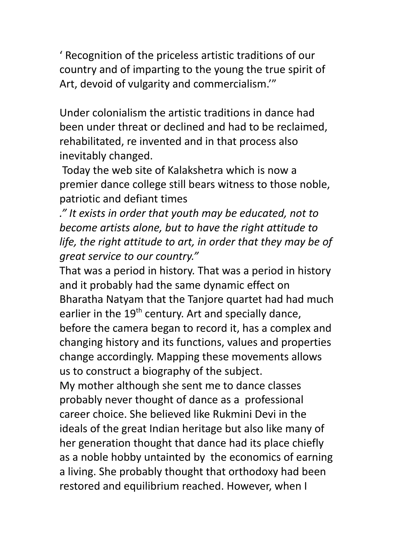' Recognition of the priceless artistic traditions of our country and of imparting to the young the true spirit of Art, devoid of vulgarity and commercialism.'"

Under colonialism the artistic traditions in dance had been under threat or declined and had to be reclaimed, rehabilitated, re invented and in that process also inevitably changed.

Today the web site of Kalakshetra which is now a premier dance college still bears witness to those noble, patriotic and defiant times

*." It exists in order that youth may be educated, not to become artists alone, but to have the right attitude to life, the right attitude to art, in order that they may be of great service to our country."*

That was a period in history. That was a period in history and it probably had the same dynamic effect on Bharatha Natyam that the Tanjore quartet had had much earlier in the  $19<sup>th</sup>$  century. Art and specially dance, before the camera began to record it, has a complex and changing history and its functions, values and properties change accordingly. Mapping these movements allows us to construct a biography of the subject.

My mother although she sent me to dance classes probably never thought of dance as a professional career choice. She believed like Rukmini Devi in the ideals of the great Indian heritage but also like many of her generation thought that dance had its place chiefly as a noble hobby untainted by the economics of earning a living. She probably thought that orthodoxy had been restored and equilibrium reached. However, when I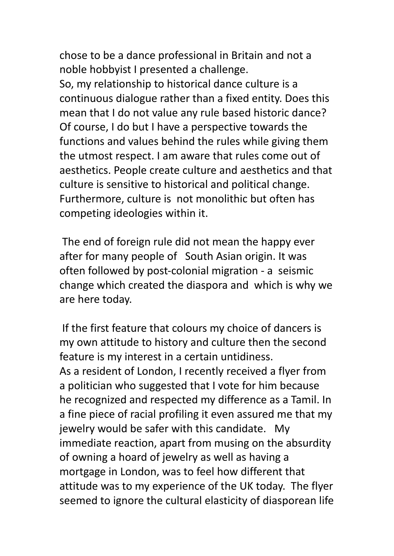chose to be a dance professional in Britain and not a noble hobbyist I presented a challenge.

So, my relationship to historical dance culture is a continuous dialogue rather than a fixed entity. Does this mean that I do not value any rule based historic dance? Of course, I do but I have a perspective towards the functions and values behind the rules while giving them the utmost respect. I am aware that rules come out of aesthetics. People create culture and aesthetics and that culture is sensitive to historical and political change. Furthermore, culture is not monolithic but often has competing ideologies within it.

The end of foreign rule did not mean the happy ever after for many people of South Asian origin. It was often followed by post-colonial migration - a seismic change which created the diaspora and which is why we are here today.

If the first feature that colours my choice of dancers is my own attitude to history and culture then the second feature is my interest in a certain untidiness. As a resident of London, I recently received a flyer from a politician who suggested that I vote for him because he recognized and respected my difference as a Tamil. In a fine piece of racial profiling it even assured me that my jewelry would be safer with this candidate. My immediate reaction, apart from musing on the absurdity of owning a hoard of jewelry as well as having a mortgage in London, was to feel how different that attitude was to my experience of the UK today. The flyer seemed to ignore the cultural elasticity of diasporean life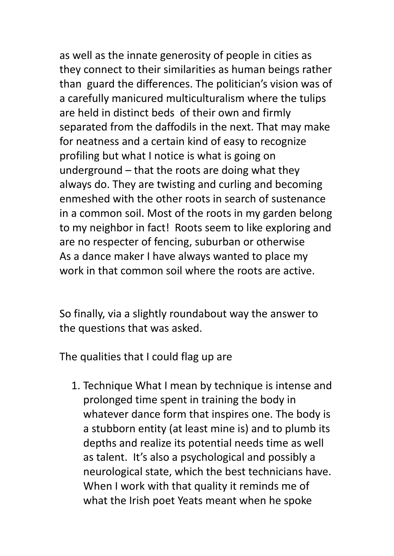as well as the innate generosity of people in cities as they connect to their similarities as human beings rather than guard the differences. The politician's vision was of a carefully manicured multiculturalism where the tulips are held in distinct beds of their own and firmly separated from the daffodils in the next. That may make for neatness and a certain kind of easy to recognize profiling but what I notice is what is going on underground – that the roots are doing what they always do. They are twisting and curling and becoming enmeshed with the other roots in search of sustenance in a common soil. Most of the roots in my garden belong to my neighbor in fact! Roots seem to like exploring and are no respecter of fencing, suburban or otherwise As a dance maker I have always wanted to place my work in that common soil where the roots are active.

So finally, via a slightly roundabout way the answer to the questions that was asked.

The qualities that I could flag up are

1. Technique What I mean by technique is intense and prolonged time spent in training the body in whatever dance form that inspires one. The body is a stubborn entity (at least mine is) and to plumb its depths and realize its potential needs time as well as talent. It's also a psychological and possibly a neurological state, which the best technicians have. When I work with that quality it reminds me of what the Irish poet Yeats meant when he spoke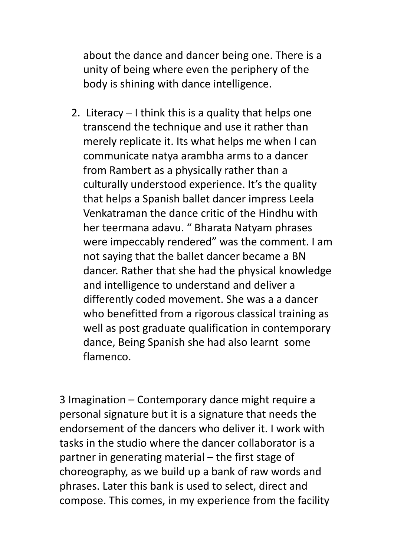about the dance and dancer being one. There is a unity of being where even the periphery of the body is shining with dance intelligence.

2. Literacy – I think this is a quality that helps one transcend the technique and use it rather than merely replicate it. Its what helps me when I can communicate natya arambha arms to a dancer from Rambert as a physically rather than a culturally understood experience. It's the quality that helps a Spanish ballet dancer impress Leela Venkatraman the dance critic of the Hindhu with her teermana adavu. " Bharata Natyam phrases were impeccably rendered" was the comment. I am not saying that the ballet dancer became a BN dancer. Rather that she had the physical knowledge and intelligence to understand and deliver a differently coded movement. She was a a dancer who benefitted from a rigorous classical training as well as post graduate qualification in contemporary dance, Being Spanish she had also learnt some flamenco.

3 Imagination – Contemporary dance might require a personal signature but it is a signature that needs the endorsement of the dancers who deliver it. I work with tasks in the studio where the dancer collaborator is a partner in generating material – the first stage of choreography, as we build up a bank of raw words and phrases. Later this bank is used to select, direct and compose. This comes, in my experience from the facility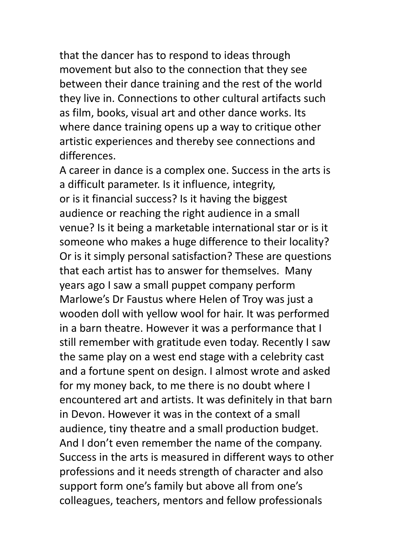that the dancer has to respond to ideas through movement but also to the connection that they see between their dance training and the rest of the world they live in. Connections to other cultural artifacts such as film, books, visual art and other dance works. Its where dance training opens up a way to critique other artistic experiences and thereby see connections and differences.

A career in dance is a complex one. Success in the arts is a difficult parameter. Is it influence, integrity, or is it financial success? Is it having the biggest audience or reaching the right audience in a small venue? Is it being a marketable international star or is it someone who makes a huge difference to their locality? Or is it simply personal satisfaction? These are questions that each artist has to answer for themselves. Many years ago I saw a small puppet company perform Marlowe's Dr Faustus where Helen of Troy was just a wooden doll with yellow wool for hair. It was performed in a barn theatre. However it was a performance that I still remember with gratitude even today. Recently I saw the same play on a west end stage with a celebrity cast and a fortune spent on design. I almost wrote and asked for my money back, to me there is no doubt where I encountered art and artists. It was definitely in that barn in Devon. However it was in the context of a small audience, tiny theatre and a small production budget. And I don't even remember the name of the company. Success in the arts is measured in different ways to other professions and it needs strength of character and also support form one's family but above all from one's colleagues, teachers, mentors and fellow professionals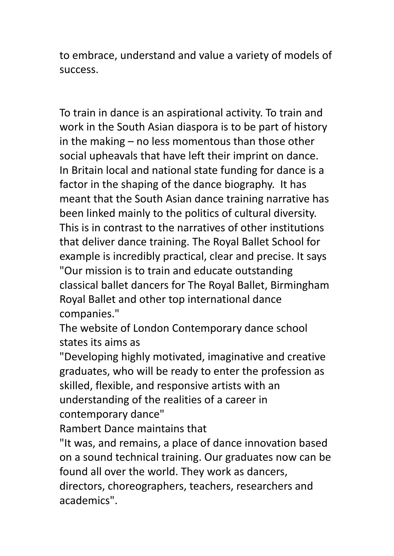to embrace, understand and value a variety of models of success.

To train in dance is an aspirational activity. To train and work in the South Asian diaspora is to be part of history in the making – no less momentous than those other social upheavals that have left their imprint on dance. In Britain local and national state funding for dance is a factor in the shaping of the dance biography. It has meant that the South Asian dance training narrative has been linked mainly to the politics of cultural diversity. This is in contrast to the narratives of other institutions that deliver dance training. The Royal Ballet School for example is incredibly practical, clear and precise. It says "Our mission is to train and educate outstanding classical ballet dancers for The Royal Ballet, Birmingham Royal Ballet and other top international dance companies."

The website of London Contemporary dance school states its aims as

"Developing highly motivated, imaginative and creative graduates, who will be ready to enter the profession as skilled, flexible, and responsive artists with an understanding of the realities of a career in contemporary dance"

Rambert Dance maintains that

"It was, and remains, a place of dance innovation based on a sound technical training. Our graduates now can be found all over the world. They work as dancers, directors, choreographers, teachers, researchers and academics".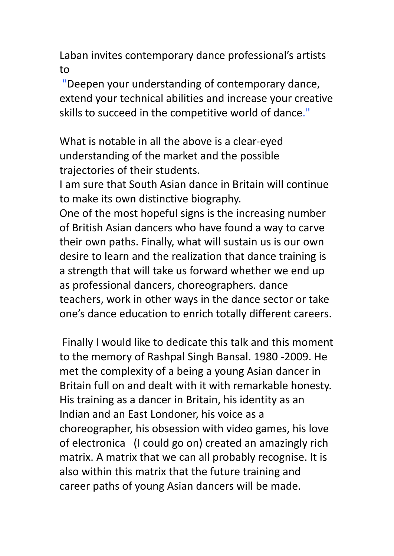Laban invites contemporary dance professional's artists to

"Deepen your understanding of contemporary dance, extend your technical abilities and increase your creative skills to succeed in the competitive world of dance."

What is notable in all the above is a clear-eyed understanding of the market and the possible trajectories of their students.

I am sure that South Asian dance in Britain will continue to make its own distinctive biography.

One of the most hopeful signs is the increasing number of British Asian dancers who have found a way to carve their own paths. Finally, what will sustain us is our own desire to learn and the realization that dance training is a strength that will take us forward whether we end up as professional dancers, choreographers. dance teachers, work in other ways in the dance sector or take one's dance education to enrich totally different careers.

Finally I would like to dedicate this talk and this moment to the memory of Rashpal Singh Bansal. 1980 -2009. He met the complexity of a being a young Asian dancer in Britain full on and dealt with it with remarkable honesty. His training as a dancer in Britain, his identity as an Indian and an East Londoner, his voice as a choreographer, his obsession with video games, his love of electronica (I could go on) created an amazingly rich matrix. A matrix that we can all probably recognise. It is also within this matrix that the future training and career paths of young Asian dancers will be made.